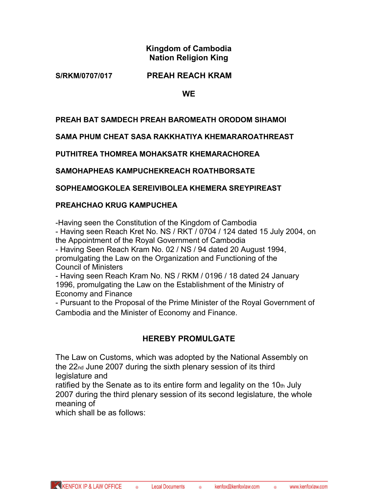# **Kingdom of Cambodia Nation Religion King**

## **S/RKM/0707/017 PREAH REACH KRAM**

**WE**

## **PREAH BAT SAMDECH PREAH BAROMEATH ORODOM SIHAMOI**

**SAMA PHUM CHEAT SASA RAKKHATIYA KHEMARAROATHREAST** 

**PUTHITREA THOMREA MOHAKSATR KHEMARACHOREA** 

**SAMOHAPHEAS KAMPUCHEKREACH ROATHBORSATE** 

**SOPHEAMOGKOLEA SEREIVIBOLEA KHEMERA SREYPIREAST** 

#### **PREAHCHAO KRUG KAMPUCHEA**

-Having seen the Constitution of the Kingdom of Cambodia - Having seen Reach Kret No. NS / RKT / 0704 / 124 dated 15 July 2004, on the Appointment of the Royal Government of Cambodia - Having Seen Reach Kram No. 02 / NS / 94 dated 20 August 1994,

promulgating the Law on the Organization and Functioning of the Council of Ministers

- Having seen Reach Kram No. NS / RKM / 0196 / 18 dated 24 January 1996, promulgating the Law on the Establishment of the Ministry of Economy and Finance

- Pursuant to the Proposal of the Prime Minister of the Royal Government of Cambodia and the Minister of Economy and Finance.

# **HEREBY PROMULGATE**

The Law on Customs, which was adopted by the National Assembly on the 22nd June 2007 during the sixth plenary session of its third legislature and

ratified by the Senate as to its entire form and legality on the  $10<sub>th</sub>$  July 2007 during the third plenary session of its second legislature, the whole meaning of

which shall be as follows: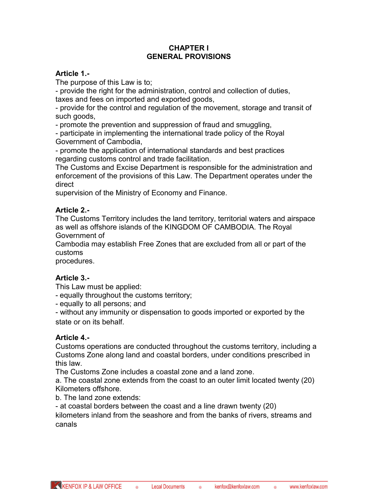#### **CHAPTER I GENERAL PROVISIONS**

#### **Article 1.-**

The purpose of this Law is to;

- provide the right for the administration, control and collection of duties, taxes and fees on imported and exported goods,

- provide for the control and regulation of the movement, storage and transit of such goods,

- promote the prevention and suppression of fraud and smuggling,

- participate in implementing the international trade policy of the Royal Government of Cambodia,

- promote the application of international standards and best practices regarding customs control and trade facilitation.

The Customs and Excise Department is responsible for the administration and enforcement of the provisions of this Law. The Department operates under the direct

supervision of the Ministry of Economy and Finance.

## **Article 2.-**

The Customs Territory includes the land territory, territorial waters and airspace as well as offshore islands of the KINGDOM OF CAMBODIA. The Royal Government of

Cambodia may establish Free Zones that are excluded from all or part of the customs

procedures.

## **Article 3.-**

This Law must be applied:

- equally throughout the customs territory;

- equally to all persons; and

- without any immunity or dispensation to goods imported or exported by the state or on its behalf.

#### **Article 4.-**

Customs operations are conducted throughout the customs territory, including a Customs Zone along land and coastal borders, under conditions prescribed in this law.

The Customs Zone includes a coastal zone and a land zone.

a. The coastal zone extends from the coast to an outer limit located twenty (20) Kilometers offshore.

b. The land zone extends:

- at coastal borders between the coast and a line drawn twenty (20)

kilometers inland from the seashore and from the banks of rivers, streams and canals

 $\bullet$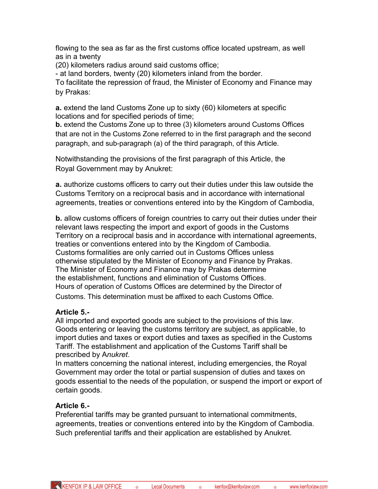flowing to the sea as far as the first customs office located upstream, as well as in a twenty

(20) kilometers radius around said customs office;

- at land borders, twenty (20) kilometers inland from the border.

To facilitate the repression of fraud, the Minister of Economy and Finance may by Prakas:

**a.** extend the land Customs Zone up to sixty (60) kilometers at specific locations and for specified periods of time;

**b.** extend the Customs Zone up to three (3) kilometers around Customs Offices that are not in the Customs Zone referred to in the first paragraph and the second paragraph, and sub-paragraph (a) of the third paragraph, of this Article.

Notwithstanding the provisions of the first paragraph of this Article, the Royal Government may by Anukret:

**a.** authorize customs officers to carry out their duties under this law outside the Customs Territory on a reciprocal basis and in accordance with international agreements, treaties or conventions entered into by the Kingdom of Cambodia,

**b.** allow customs officers of foreign countries to carry out their duties under their relevant laws respecting the import and export of goods in the Customs Territory on a reciprocal basis and in accordance with international agreements, treaties or conventions entered into by the Kingdom of Cambodia. Customs formalities are only carried out in Customs Offices unless otherwise stipulated by the Minister of Economy and Finance by Prakas. The Minister of Economy and Finance may by Prakas determine the establishment, functions and elimination of Customs Offices. Hours of operation of Customs Offices are determined by the Director of Customs. This determination must be affixed to each Customs Office.

## **Article 5.-**

All imported and exported goods are subject to the provisions of this law. Goods entering or leaving the customs territory are subject, as applicable, to import duties and taxes or export duties and taxes as specified in the Customs Tariff. The establishment and application of the Customs Tariff shall be prescribed by A*nukret*.

In matters concerning the national interest, including emergencies, the Royal Government may order the total or partial suspension of duties and taxes on goods essential to the needs of the population, or suspend the import or export of certain goods.

# **Article 6.-**

Preferential tariffs may be granted pursuant to international commitments, agreements, treaties or conventions entered into by the Kingdom of Cambodia. Such preferential tariffs and their application are established by Anukret.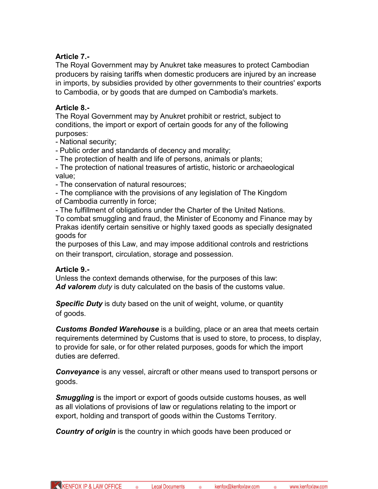## **Article 7.-**

The Royal Government may by Anukret take measures to protect Cambodian producers by raising tariffs when domestic producers are injured by an increase in imports, by subsidies provided by other governments to their countries' exports to Cambodia, or by goods that are dumped on Cambodia's markets.

## **Article 8.-**

The Royal Government may by Anukret prohibit or restrict, subject to conditions, the import or export of certain goods for any of the following purposes:

- National security;

- Public order and standards of decency and morality;

- The protection of health and life of persons, animals or plants;

- The protection of national treasures of artistic, historic or archaeological value;

- The conservation of natural resources;

- The compliance with the provisions of any legislation of The Kingdom

of Cambodia currently in force;

- The fulfillment of obligations under the Charter of the United Nations.

To combat smuggling and fraud, the Minister of Economy and Finance may by Prakas identify certain sensitive or highly taxed goods as specially designated goods for

the purposes of this Law, and may impose additional controls and restrictions on their transport, circulation, storage and possession.

## **Article 9.-**

Unless the context demands otherwise, for the purposes of this law: Ad valorem *duty* is duty calculated on the basis of the customs value.

*Specific Duty* is duty based on the unit of weight, volume, or quantity of goods.

*Customs Bonded Warehouse* is a building, place or an area that meets certain requirements determined by Customs that is used to store, to process, to display, to provide for sale, or for other related purposes, goods for which the import duties are deferred.

**Conveyance** is any vessel, aircraft or other means used to transport persons or goods.

*Smuggling* is the import or export of goods outside customs houses, as well as all violations of provisions of law or regulations relating to the import or export, holding and transport of goods within the Customs Territory.

*Country of origin* is the country in which goods have been produced or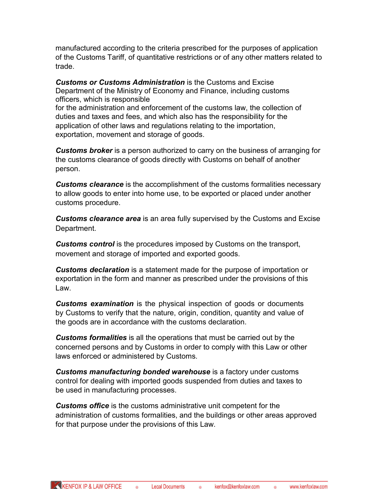manufactured according to the criteria prescribed for the purposes of application of the Customs Tariff, of quantitative restrictions or of any other matters related to trade.

*Customs or Customs Administration* is the Customs and Excise Department of the Ministry of Economy and Finance, including customs officers, which is responsible for the administration and enforcement of the customs law, the collection of duties and taxes and fees, and which also has the responsibility for the application of other laws and regulations relating to the importation, exportation, movement and storage of goods.

*Customs broker* is a person authorized to carry on the business of arranging for the customs clearance of goods directly with Customs on behalf of another person.

*Customs clearance* is the accomplishment of the customs formalities necessary to allow goods to enter into home use, to be exported or placed under another customs procedure.

*Customs clearance area* is an area fully supervised by the Customs and Excise Department.

*Customs control* is the procedures imposed by Customs on the transport, movement and storage of imported and exported goods.

*Customs declaration* is a statement made for the purpose of importation or exportation in the form and manner as prescribed under the provisions of this Law.

**Customs examination** is the physical inspection of goods or documents by Customs to verify that the nature, origin, condition, quantity and value of the goods are in accordance with the customs declaration.

*Customs formalities* is all the operations that must be carried out by the concerned persons and by Customs in order to comply with this Law or other laws enforced or administered by Customs.

*Customs manufacturing bonded warehouse* is a factory under customs control for dealing with imported goods suspended from duties and taxes to be used in manufacturing processes.

*Customs office* is the customs administrative unit competent for the administration of customs formalities, and the buildings or other areas approved for that purpose under the provisions of this Law.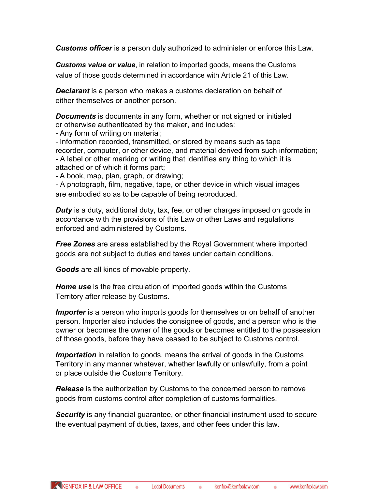*Customs officer* is a person duly authorized to administer or enforce this Law.

*Customs value or value*, in relation to imported goods, means the Customs value of those goods determined in accordance with Article 21 of this Law.

*Declarant* is a person who makes a customs declaration on behalf of either themselves or another person.

**Documents** is documents in any form, whether or not signed or initialed or otherwise authenticated by the maker, and includes:

- Any form of writing on material;

- Information recorded, transmitted, or stored by means such as tape recorder, computer, or other device, and material derived from such information; - A label or other marking or writing that identifies any thing to which it is attached or of which it forms part;

- A book, map, plan, graph, or drawing;

- A photograph, film, negative, tape, or other device in which visual images are embodied so as to be capable of being reproduced.

*Duty* is a duty, additional duty, tax, fee, or other charges imposed on goods in accordance with the provisions of this Law or other Laws and regulations enforced and administered by Customs.

*Free Zones* are areas established by the Royal Government where imported goods are not subject to duties and taxes under certain conditions.

*Goods* are all kinds of movable property.

*Home use* is the free circulation of imported goods within the Customs Territory after release by Customs.

*Importer* is a person who imports goods for themselves or on behalf of another person. Importer also includes the consignee of goods, and a person who is the owner or becomes the owner of the goods or becomes entitled to the possession of those goods, before they have ceased to be subject to Customs control.

*Importation* in relation to goods, means the arrival of goods in the Customs Territory in any manner whatever, whether lawfully or unlawfully, from a point or place outside the Customs Territory.

**Release** is the authorization by Customs to the concerned person to remove goods from customs control after completion of customs formalities.

*Security* is any financial guarantee, or other financial instrument used to secure the eventual payment of duties, taxes, and other fees under this law.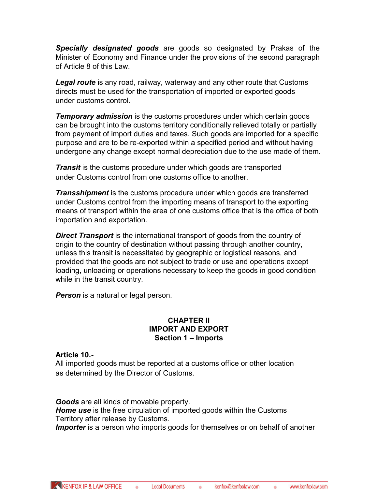*Specially designated goods* are goods so designated by Prakas of the Minister of Economy and Finance under the provisions of the second paragraph of Article 8 of this Law.

*Legal route* is any road, railway, waterway and any other route that Customs directs must be used for the transportation of imported or exported goods under customs control.

**Temporary admission** is the customs procedures under which certain goods can be brought into the customs territory conditionally relieved totally or partially from payment of import duties and taxes. Such goods are imported for a specific purpose and are to be re-exported within a specified period and without having undergone any change except normal depreciation due to the use made of them.

**Transit** is the customs procedure under which goods are transported under Customs control from one customs office to another.

**Transshipment** is the customs procedure under which goods are transferred under Customs control from the importing means of transport to the exporting means of transport within the area of one customs office that is the office of both importation and exportation.

**Direct Transport** is the international transport of goods from the country of origin to the country of destination without passing through another country, unless this transit is necessitated by geographic or logistical reasons, and provided that the goods are not subject to trade or use and operations except loading, unloading or operations necessary to keep the goods in good condition while in the transit country.

**Person** is a natural or legal person.

#### **CHAPTER II IMPORT AND EXPORT Section 1 – Imports**

## **Article 10.-**

All imported goods must be reported at a customs office or other location as determined by the Director of Customs.

*Goods* are all kinds of movable property.

*Home use* is the free circulation of imported goods within the Customs Territory after release by Customs.

*Importer* is a person who imports goods for themselves or on behalf of another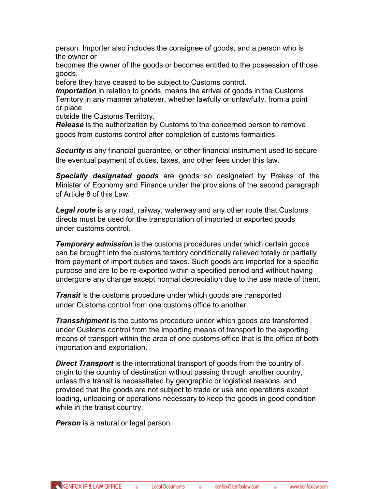person. Importer also includes the consignee of goods, and a person who is the owner or

becomes the owner of the goods or becomes entitled to the possession of those goods,

before they have ceased to be subject to Customs control.

**Importation** in relation to goods, means the arrival of goods in the Customs Territory in any manner whatever, whether lawfully or unlawfully, from a point or place

outside the Customs Territory.

**Release** is the authorization by Customs to the concerned person to remove goods from customs control after completion of customs formalities.

**Security** is any financial guarantee, or other financial instrument used to secure the eventual payment of duties, taxes, and other fees under this law.

*Specially designated goods* are goods so designated by Prakas of the Minister of Economy and Finance under the provisions of the second paragraph of Article 8 of this Law.

Legal route is any road, railway, waterway and any other route that Customs directs must be used for the transportation of imported or exported goods under customs control.

**Temporary admission** is the customs procedures under which certain goods can be brought into the customs territory conditionally relieved totally or partially from payment of import duties and taxes. Such goods are imported for a specific purpose and are to be re-exported within a specified period and without having undergone any change except normal depreciation due to the use made of them.

**Transit** is the customs procedure under which goods are transported under Customs control from one customs office to another.

*Transshipment* is the customs procedure under which goods are transferred under Customs control from the importing means of transport to the exporting means of transport within the area of one customs office that is the office of both importation and exportation.

**Direct Transport** is the international transport of goods from the country of origin to the country of destination without passing through another country, unless this transit is necessitated by geographic or logistical reasons, and provided that the goods are not subject to trade or use and operations except loading, unloading or operations necessary to keep the goods in good condition while in the transit country.

*Person* is a natural or legal person.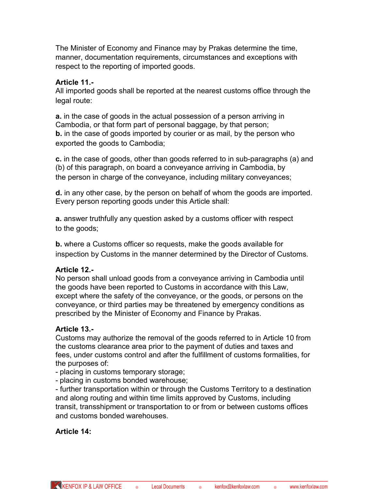The Minister of Economy and Finance may by Prakas determine the time, manner, documentation requirements, circumstances and exceptions with respect to the reporting of imported goods.

#### **Article 11.-**

All imported goods shall be reported at the nearest customs office through the legal route:

**a.** in the case of goods in the actual possession of a person arriving in Cambodia, or that form part of personal baggage, by that person; **b.** in the case of goods imported by courier or as mail, by the person who exported the goods to Cambodia;

**c.** in the case of goods, other than goods referred to in sub-paragraphs (a) and (b) of this paragraph, on board a conveyance arriving in Cambodia, by the person in charge of the conveyance, including military conveyances;

**d.** in any other case, by the person on behalf of whom the goods are imported. Every person reporting goods under this Article shall:

**a.** answer truthfully any question asked by a customs officer with respect to the goods;

**b.** where a Customs officer so requests, make the goods available for inspection by Customs in the manner determined by the Director of Customs.

## **Article 12.-**

No person shall unload goods from a conveyance arriving in Cambodia until the goods have been reported to Customs in accordance with this Law, except where the safety of the conveyance, or the goods, or persons on the conveyance, or third parties may be threatened by emergency conditions as prescribed by the Minister of Economy and Finance by Prakas.

## **Article 13.-**

Customs may authorize the removal of the goods referred to in Article 10 from the customs clearance area prior to the payment of duties and taxes and fees, under customs control and after the fulfillment of customs formalities, for the purposes of:

- placing in customs temporary storage;

- placing in customs bonded warehouse;

- further transportation within or through the Customs Territory to a destination and along routing and within time limits approved by Customs, including transit, transshipment or transportation to or from or between customs offices and customs bonded warehouses.

## **Article 14:**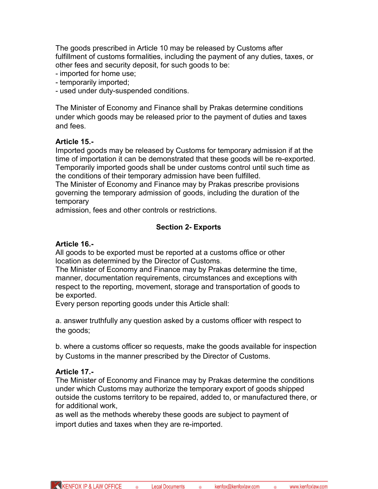The goods prescribed in Article 10 may be released by Customs after fulfillment of customs formalities, including the payment of any duties, taxes, or other fees and security deposit, for such goods to be:

- imported for home use;

- temporarily imported;

- used under duty-suspended conditions.

The Minister of Economy and Finance shall by Prakas determine conditions under which goods may be released prior to the payment of duties and taxes and fees.

#### **Article 15.-**

Imported goods may be released by Customs for temporary admission if at the time of importation it can be demonstrated that these goods will be re-exported. Temporarily imported goods shall be under customs control until such time as the conditions of their temporary admission have been fulfilled.

The Minister of Economy and Finance may by Prakas prescribe provisions governing the temporary admission of goods, including the duration of the temporary

admission, fees and other controls or restrictions.

## **Section 2- Exports**

#### **Article 16.-**

All goods to be exported must be reported at a customs office or other location as determined by the Director of Customs.

The Minister of Economy and Finance may by Prakas determine the time, manner, documentation requirements, circumstances and exceptions with respect to the reporting, movement, storage and transportation of goods to be exported.

Every person reporting goods under this Article shall:

a. answer truthfully any question asked by a customs officer with respect to the goods;

b. where a customs officer so requests, make the goods available for inspection by Customs in the manner prescribed by the Director of Customs.

#### **Article 17.-**

The Minister of Economy and Finance may by Prakas determine the conditions under which Customs may authorize the temporary export of goods shipped outside the customs territory to be repaired, added to, or manufactured there, or for additional work,

as well as the methods whereby these goods are subject to payment of import duties and taxes when they are re-imported.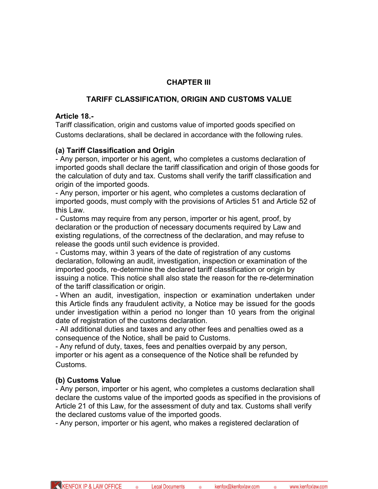## **CHAPTER III**

## **TARIFF CLASSIFICATION, ORIGIN AND CUSTOMS VALUE**

#### **Article 18.-**

Tariff classification, origin and customs value of imported goods specified on Customs declarations, shall be declared in accordance with the following rules.

## **(a) Tariff Classification and Origin**

- Any person, importer or his agent, who completes a customs declaration of imported goods shall declare the tariff classification and origin of those goods for the calculation of duty and tax. Customs shall verify the tariff classification and origin of the imported goods.

- Any person, importer or his agent, who completes a customs declaration of imported goods, must comply with the provisions of Articles 51 and Article 52 of this Law.

- Customs may require from any person, importer or his agent, proof, by declaration or the production of necessary documents required by Law and existing regulations, of the correctness of the declaration, and may refuse to release the goods until such evidence is provided.

- Customs may, within 3 years of the date of registration of any customs declaration, following an audit, investigation, inspection or examination of the imported goods, re-determine the declared tariff classification or origin by issuing a notice. This notice shall also state the reason for the re-determination of the tariff classification or origin.

- When an audit, investigation, inspection or examination undertaken under this Article finds any fraudulent activity, a Notice may be issued for the goods under investigation within a period no longer than 10 years from the original date of registration of the customs declaration.

- All additional duties and taxes and any other fees and penalties owed as a consequence of the Notice, shall be paid to Customs.

- Any refund of duty, taxes, fees and penalties overpaid by any person, importer or his agent as a consequence of the Notice shall be refunded by Customs.

## **(b) Customs Value**

- Any person, importer or his agent, who completes a customs declaration shall declare the customs value of the imported goods as specified in the provisions of Article 21 of this Law, for the assessment of duty and tax. Customs shall verify the declared customs value of the imported goods.

- Any person, importer or his agent, who makes a registered declaration of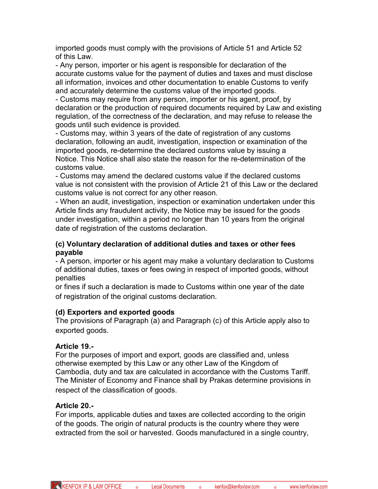imported goods must comply with the provisions of Article 51 and Article 52 of this Law.

- Any person, importer or his agent is responsible for declaration of the accurate customs value for the payment of duties and taxes and must disclose all information, invoices and other documentation to enable Customs to verify and accurately determine the customs value of the imported goods.

- Customs may require from any person, importer or his agent, proof, by declaration or the production of required documents required by Law and existing regulation, of the correctness of the declaration, and may refuse to release the goods until such evidence is provided.

- Customs may, within 3 years of the date of registration of any customs declaration, following an audit, investigation, inspection or examination of the imported goods, re-determine the declared customs value by issuing a Notice. This Notice shall also state the reason for the re-determination of the customs value.

- Customs may amend the declared customs value if the declared customs value is not consistent with the provision of Article 21 of this Law or the declared customs value is not correct for any other reason.

- When an audit, investigation, inspection or examination undertaken under this Article finds any fraudulent activity, the Notice may be issued for the goods under investigation, within a period no longer than 10 years from the original date of registration of the customs declaration.

#### **(c) Voluntary declaration of additional duties and taxes or other fees payable**

- A person, importer or his agent may make a voluntary declaration to Customs of additional duties, taxes or fees owing in respect of imported goods, without penalties

or fines if such a declaration is made to Customs within one year of the date of registration of the original customs declaration.

## **(d) Exporters and exported goods**

The provisions of Paragraph (a) and Paragraph (c) of this Article apply also to exported goods.

# **Article 19.-**

For the purposes of import and export, goods are classified and, unless otherwise exempted by this Law or any other Law of the Kingdom of Cambodia, duty and tax are calculated in accordance with the Customs Tariff. The Minister of Economy and Finance shall by Prakas determine provisions in respect of the classification of goods.

# **Article 20.-**

For imports, applicable duties and taxes are collected according to the origin of the goods. The origin of natural products is the country where they were extracted from the soil or harvested. Goods manufactured in a single country,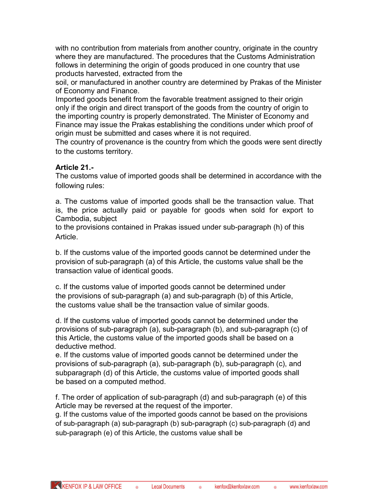with no contribution from materials from another country, originate in the country where they are manufactured. The procedures that the Customs Administration follows in determining the origin of goods produced in one country that use products harvested, extracted from the

soil, or manufactured in another country are determined by Prakas of the Minister of Economy and Finance.

Imported goods benefit from the favorable treatment assigned to their origin only if the origin and direct transport of the goods from the country of origin to the importing country is properly demonstrated. The Minister of Economy and Finance may issue the Prakas establishing the conditions under which proof of origin must be submitted and cases where it is not required.

The country of provenance is the country from which the goods were sent directly to the customs territory.

## **Article 21.-**

The customs value of imported goods shall be determined in accordance with the following rules:

a. The customs value of imported goods shall be the transaction value. That is, the price actually paid or payable for goods when sold for export to Cambodia, subject

to the provisions contained in Prakas issued under sub-paragraph (h) of this Article.

b. If the customs value of the imported goods cannot be determined under the provision of sub-paragraph (a) of this Article, the customs value shall be the transaction value of identical goods.

c. If the customs value of imported goods cannot be determined under the provisions of sub-paragraph (a) and sub-paragraph (b) of this Article, the customs value shall be the transaction value of similar goods.

d. If the customs value of imported goods cannot be determined under the provisions of sub-paragraph (a), sub-paragraph (b), and sub-paragraph (c) of this Article, the customs value of the imported goods shall be based on a deductive method.

e. If the customs value of imported goods cannot be determined under the provisions of sub-paragraph (a), sub-paragraph (b), sub-paragraph (c), and subparagraph (d) of this Article, the customs value of imported goods shall be based on a computed method.

f. The order of application of sub-paragraph (d) and sub-paragraph (e) of this Article may be reversed at the request of the importer.

g. If the customs value of the imported goods cannot be based on the provisions of sub-paragraph (a) sub-paragraph (b) sub-paragraph (c) sub-paragraph (d) and sub-paragraph (e) of this Article, the customs value shall be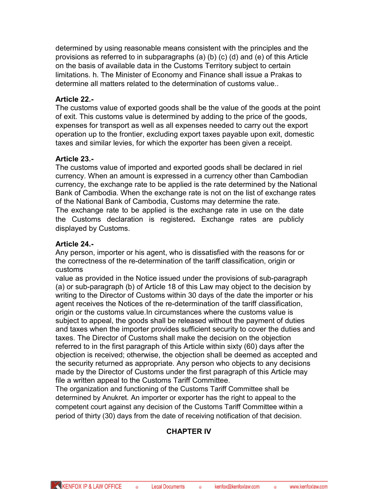determined by using reasonable means consistent with the principles and the provisions as referred to in subparagraphs (a) (b) (c) (d) and (e) of this Article on the basis of available data in the Customs Territory subject to certain limitations. h. The Minister of Economy and Finance shall issue a Prakas to determine all matters related to the determination of customs value..

## **Article 22.-**

The customs value of exported goods shall be the value of the goods at the point of exit. This customs value is determined by adding to the price of the goods, expenses for transport as well as all expenses needed to carry out the export operation up to the frontier, excluding export taxes payable upon exit, domestic taxes and similar levies, for which the exporter has been given a receipt.

## **Article 23.-**

The customs value of imported and exported goods shall be declared in riel currency. When an amount is expressed in a currency other than Cambodian currency, the exchange rate to be applied is the rate determined by the National Bank of Cambodia. When the exchange rate is not on the list of exchange rates of the National Bank of Cambodia, Customs may determine the rate. The exchange rate to be applied is the exchange rate in use on the date the Customs declaration is registered**.** Exchange rates are publicly displayed by Customs.

## **Article 24.-**

Any person, importer or his agent, who is dissatisfied with the reasons for or the correctness of the re-determination of the tariff classification, origin or customs

value as provided in the Notice issued under the provisions of sub-paragraph (a) or sub-paragraph (b) of Article 18 of this Law may object to the decision by writing to the Director of Customs within 30 days of the date the importer or his agent receives the Notices of the re-determination of the tariff classification, origin or the customs value.In circumstances where the customs value is subject to appeal, the goods shall be released without the payment of duties and taxes when the importer provides sufficient security to cover the duties and taxes. The Director of Customs shall make the decision on the objection referred to in the first paragraph of this Article within sixty (60) days after the objection is received; otherwise, the objection shall be deemed as accepted and the security returned as appropriate. Any person who objects to any decisions made by the Director of Customs under the first paragraph of this Article may file a written appeal to the Customs Tariff Committee.

The organization and functioning of the Customs Tariff Committee shall be determined by Anukret*.* An importer or exporter has the right to appeal to the competent court against any decision of the Customs Tariff Committee within a period of thirty (30) days from the date of receiving notification of that decision.

# **CHAPTER IV**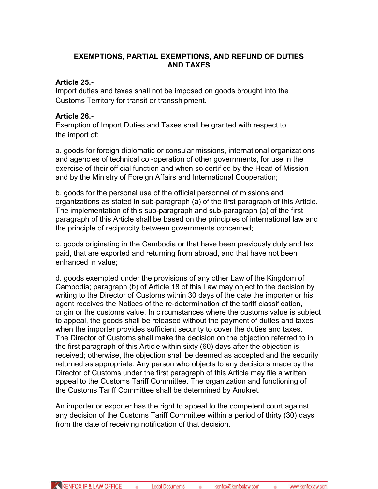#### **EXEMPTIONS, PARTIAL EXEMPTIONS, AND REFUND OF DUTIES AND TAXES**

#### **Article 25.-**

Import duties and taxes shall not be imposed on goods brought into the Customs Territory for transit or transshipment.

#### **Article 26.-**

Exemption of Import Duties and Taxes shall be granted with respect to the import of:

a. goods for foreign diplomatic or consular missions, international organizations and agencies of technical co -operation of other governments, for use in the exercise of their official function and when so certified by the Head of Mission and by the Ministry of Foreign Affairs and International Cooperation;

b. goods for the personal use of the official personnel of missions and organizations as stated in sub-paragraph (a) of the first paragraph of this Article. The implementation of this sub-paragraph and sub-paragraph (a) of the first paragraph of this Article shall be based on the principles of international law and the principle of reciprocity between governments concerned;

c. goods originating in the Cambodia or that have been previously duty and tax paid, that are exported and returning from abroad, and that have not been enhanced in value;

d. goods exempted under the provisions of any other Law of the Kingdom of Cambodia; paragraph (b) of Article 18 of this Law may object to the decision by writing to the Director of Customs within 30 days of the date the importer or his agent receives the Notices of the re-determination of the tariff classification, origin or the customs value. In circumstances where the customs value is subject to appeal, the goods shall be released without the payment of duties and taxes when the importer provides sufficient security to cover the duties and taxes. The Director of Customs shall make the decision on the objection referred to in the first paragraph of this Article within sixty (60) days after the objection is received; otherwise, the objection shall be deemed as accepted and the security returned as appropriate. Any person who objects to any decisions made by the Director of Customs under the first paragraph of this Article may file a written appeal to the Customs Tariff Committee. The organization and functioning of the Customs Tariff Committee shall be determined by Anukret*.*

An importer or exporter has the right to appeal to the competent court against any decision of the Customs Tariff Committee within a period of thirty (30) days from the date of receiving notification of that decision.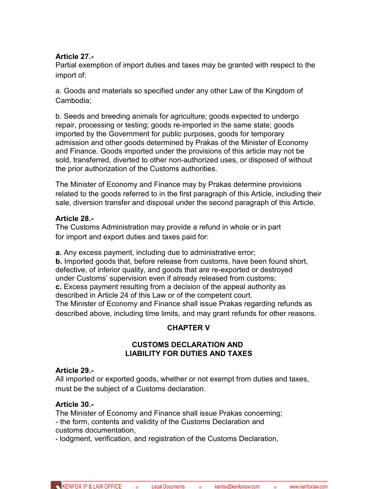## **Article 27.-**

Partial exemption of import duties and taxes may be granted with respect to the import of:

a. Goods and materials so specified under any other Law of the Kingdom of Cambodia;

b. Seeds and breeding animals for agriculture; goods expected to undergo repair, processing or testing; goods re-imported in the same state; goods imported by the Government for public purposes, goods for temporary admission and other goods determined by Prakas of the Minister of Economy and Finance*.* Goods imported under the provisions of this article may not be sold, transferred, diverted to other non-authorized uses, or disposed of without the prior authorization of the Customs authorities.

The Minister of Economy and Finance may by Prakas determine provisions related to the goods referred to in the first paragraph of this Article, including their sale, diversion transfer and disposal under the second paragraph of this Article.

## **Article 28.-**

The Customs Administration may provide a refund in whole or in part for import and export duties and taxes paid for:

**a.** Any excess payment, including due to administrative error; **b.** Imported goods that, before release from customs, have been found short, defective, of inferior quality, and goods that are re-exported or destroyed under Customs' supervision even if already released from customs; **c.** Excess payment resulting from a decision of the appeal authority as described in Article 24 of this Law or of the competent court. The Minister of Economy and Finance shall issue Prakas regarding refunds as described above, including time limits, and may grant refunds for other reasons.

# **CHAPTER V**

## **CUSTOMS DECLARATION AND LIABILITY FOR DUTIES AND TAXES**

# **Article 29.-**

All imported or exported goods, whether or not exempt from duties and taxes, must be the subject of a Customs declaration.

# **Article 30.-**

The Minister of Economy and Finance shall issue Prakas concerning; - the form, contents and validity of the Customs Declaration and customs documentation,

- lodgment, verification, and registration of the Customs Declaration,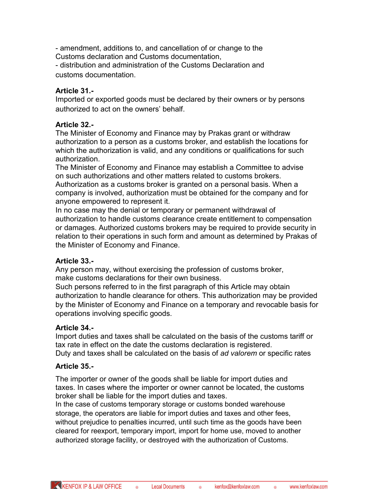- amendment, additions to, and cancellation of or change to the Customs declaration and Customs documentation,

- distribution and administration of the Customs Declaration and customs documentation.

# **Article 31.-**

Imported or exported goods must be declared by their owners or by persons authorized to act on the owners' behalf.

## **Article 32.-**

The Minister of Economy and Finance may by Prakas grant or withdraw authorization to a person as a customs broker, and establish the locations for which the authorization is valid, and any conditions or qualifications for such authorization.

The Minister of Economy and Finance may establish a Committee to advise on such authorizations and other matters related to customs brokers. Authorization as a customs broker is granted on a personal basis. When a company is involved, authorization must be obtained for the company and for anyone empowered to represent it.

In no case may the denial or temporary or permanent withdrawal of authorization to handle customs clearance create entitlement to compensation or damages. Authorized customs brokers may be required to provide security in relation to their operations in such form and amount as determined by Prakas of the Minister of Economy and Finance.

## **Article 33.-**

Any person may, without exercising the profession of customs broker, make customs declarations for their own business.

Such persons referred to in the first paragraph of this Article may obtain authorization to handle clearance for others. This authorization may be provided by the Minister of Economy and Finance on a temporary and revocable basis for operations involving specific goods.

## **Article 34.-**

Import duties and taxes shall be calculated on the basis of the customs tariff or tax rate in effect on the date the customs declaration is registered.

Duty and taxes shall be calculated on the basis of *ad valorem* or specific rates

## **Article 35.-**

The importer or owner of the goods shall be liable for import duties and taxes. In cases where the importer or owner cannot be located, the customs broker shall be liable for the import duties and taxes.

In the case of customs temporary storage or customs bonded warehouse storage, the operators are liable for import duties and taxes and other fees, without prejudice to penalties incurred, until such time as the goods have been cleared for reexport, temporary import, import for home use, moved to another authorized storage facility, or destroyed with the authorization of Customs.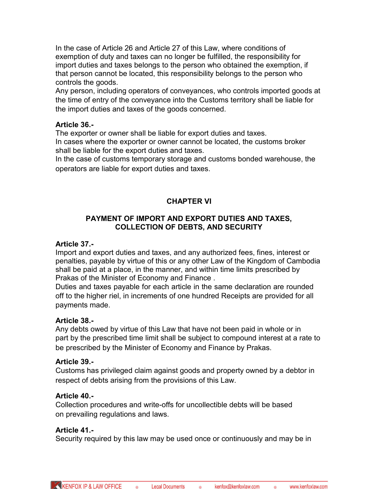In the case of Article 26 and Article 27 of this Law, where conditions of exemption of duty and taxes can no longer be fulfilled, the responsibility for import duties and taxes belongs to the person who obtained the exemption, if that person cannot be located, this responsibility belongs to the person who controls the goods.

Any person, including operators of conveyances, who controls imported goods at the time of entry of the conveyance into the Customs territory shall be liable for the import duties and taxes of the goods concerned.

#### **Article 36.-**

The exporter or owner shall be liable for export duties and taxes.

In cases where the exporter or owner cannot be located, the customs broker shall be liable for the export duties and taxes.

In the case of customs temporary storage and customs bonded warehouse, the operators are liable for export duties and taxes.

# **CHAPTER VI**

## **PAYMENT OF IMPORT AND EXPORT DUTIES AND TAXES, COLLECTION OF DEBTS, AND SECURITY**

#### **Article 37.-**

Import and export duties and taxes, and any authorized fees, fines, interest or penalties, payable by virtue of this or any other Law of the Kingdom of Cambodia shall be paid at a place, in the manner, and within time limits prescribed by Prakas of the Minister of Economy and Finance .

Duties and taxes payable for each article in the same declaration are rounded off to the higher riel, in increments of one hundred Receipts are provided for all payments made.

## **Article 38.-**

Any debts owed by virtue of this Law that have not been paid in whole or in part by the prescribed time limit shall be subject to compound interest at a rate to be prescribed by the Minister of Economy and Finance by Prakas.

## **Article 39.-**

Customs has privileged claim against goods and property owned by a debtor in respect of debts arising from the provisions of this Law.

## **Article 40.-**

Collection procedures and write-offs for uncollectible debts will be based on prevailing regulations and laws.

#### **Article 41.-**

Security required by this law may be used once or continuously and may be in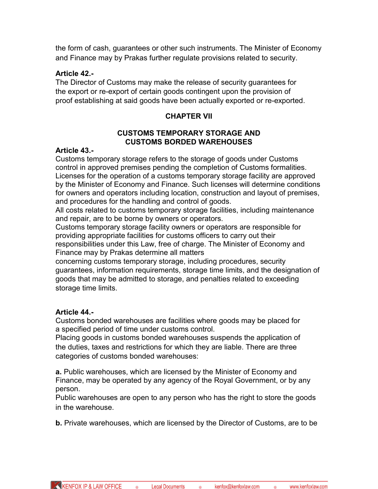the form of cash, guarantees or other such instruments. The Minister of Economy and Finance may by Prakas further regulate provisions related to security.

#### **Article 42.-**

The Director of Customs may make the release of security guarantees for the export or re-export of certain goods contingent upon the provision of proof establishing at said goods have been actually exported or re-exported.

## **CHAPTER VII**

#### **CUSTOMS TEMPORARY STORAGE AND CUSTOMS BORDED WAREHOUSES**

#### **Article 43.-**

Customs temporary storage refers to the storage of goods under Customs control in approved premises pending the completion of Customs formalities. Licenses for the operation of a customs temporary storage facility are approved by the Minister of Economy and Finance. Such licenses will determine conditions for owners and operators including location, construction and layout of premises, and procedures for the handling and control of goods.

All costs related to customs temporary storage facilities, including maintenance and repair, are to be borne by owners or operators.

Customs temporary storage facility owners or operators are responsible for providing appropriate facilities for customs officers to carry out their responsibilities under this Law, free of charge. The Minister of Economy and Finance may by Prakas determine all matters

concerning customs temporary storage, including procedures, security guarantees, information requirements, storage time limits, and the designation of goods that may be admitted to storage, and penalties related to exceeding storage time limits.

#### **Article 44.-**

Customs bonded warehouses are facilities where goods may be placed for a specified period of time under customs control.

Placing goods in customs bonded warehouses suspends the application of the duties, taxes and restrictions for which they are liable. There are three categories of customs bonded warehouses:

**a.** Public warehouses, which are licensed by the Minister of Economy and Finance, may be operated by any agency of the Royal Government, or by any person.

Public warehouses are open to any person who has the right to store the goods in the warehouse.

**b.** Private warehouses, which are licensed by the Director of Customs, are to be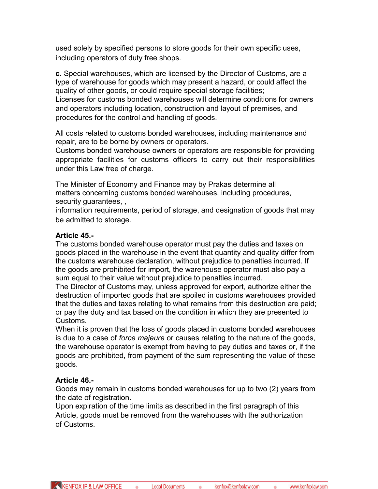used solely by specified persons to store goods for their own specific uses, including operators of duty free shops.

**c.** Special warehouses, which are licensed by the Director of Customs, are a type of warehouse for goods which may present a hazard, or could affect the quality of other goods, or could require special storage facilities; Licenses for customs bonded warehouses will determine conditions for owners and operators including location, construction and layout of premises, and procedures for the control and handling of goods.

All costs related to customs bonded warehouses, including maintenance and repair, are to be borne by owners or operators.

Customs bonded warehouse owners or operators are responsible for providing appropriate facilities for customs officers to carry out their responsibilities under this Law free of charge.

The Minister of Economy and Finance may by Prakas determine all matters concerning customs bonded warehouses, including procedures, security guarantees, ,

information requirements, period of storage, and designation of goods that may be admitted to storage.

## **Article 45.-**

The customs bonded warehouse operator must pay the duties and taxes on goods placed in the warehouse in the event that quantity and quality differ from the customs warehouse declaration, without prejudice to penalties incurred. If the goods are prohibited for import, the warehouse operator must also pay a sum equal to their value without prejudice to penalties incurred.

The Director of Customs may, unless approved for export, authorize either the destruction of imported goods that are spoiled in customs warehouses provided that the duties and taxes relating to what remains from this destruction are paid; or pay the duty and tax based on the condition in which they are presented to Customs.

When it is proven that the loss of goods placed in customs bonded warehouses is due to a case of *force majeure* or causes relating to the nature of the goods, the warehouse operator is exempt from having to pay duties and taxes or, if the goods are prohibited, from payment of the sum representing the value of these goods.

## **Article 46.-**

Goods may remain in customs bonded warehouses for up to two (2) years from the date of registration.

Upon expiration of the time limits as described in the first paragraph of this Article, goods must be removed from the warehouses with the authorization of Customs.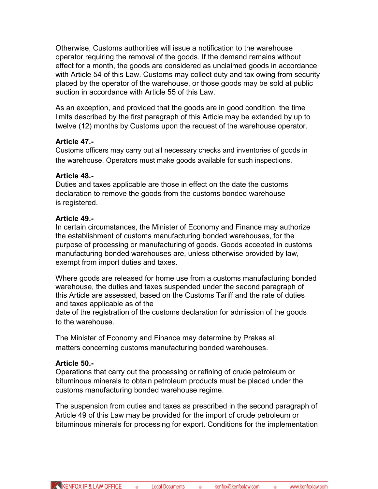Otherwise, Customs authorities will issue a notification to the warehouse operator requiring the removal of the goods. If the demand remains without effect for a month, the goods are considered as unclaimed goods in accordance with Article 54 of this Law. Customs may collect duty and tax owing from security placed by the operator of the warehouse, or those goods may be sold at public auction in accordance with Article 55 of this Law.

As an exception, and provided that the goods are in good condition, the time limits described by the first paragraph of this Article may be extended by up to twelve (12) months by Customs upon the request of the warehouse operator.

## **Article 47.-**

Customs officers may carry out all necessary checks and inventories of goods in the warehouse. Operators must make goods available for such inspections.

## **Article 48.-**

Duties and taxes applicable are those in effect on the date the customs declaration to remove the goods from the customs bonded warehouse is registered.

## **Article 49.-**

In certain circumstances, the Minister of Economy and Finance may authorize the establishment of customs manufacturing bonded warehouses, for the purpose of processing or manufacturing of goods. Goods accepted in customs manufacturing bonded warehouses are, unless otherwise provided by law, exempt from import duties and taxes.

Where goods are released for home use from a customs manufacturing bonded warehouse, the duties and taxes suspended under the second paragraph of this Article are assessed, based on the Customs Tariff and the rate of duties and taxes applicable as of the

date of the registration of the customs declaration for admission of the goods to the warehouse.

The Minister of Economy and Finance may determine by Prakas all matters concerning customs manufacturing bonded warehouses.

# **Article 50.-**

Operations that carry out the processing or refining of crude petroleum or bituminous minerals to obtain petroleum products must be placed under the customs manufacturing bonded warehouse regime.

The suspension from duties and taxes as prescribed in the second paragraph of Article 49 of this Law may be provided for the import of crude petroleum or bituminous minerals for processing for export. Conditions for the implementation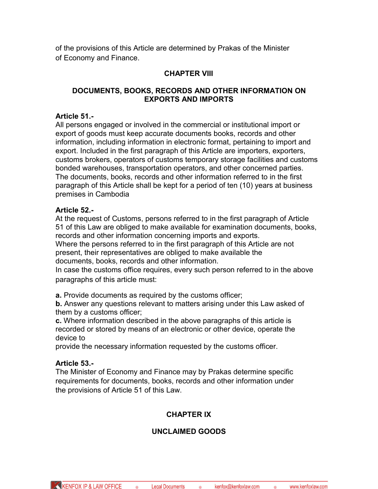of the provisions of this Article are determined by Prakas of the Minister of Economy and Finance.

# **CHAPTER VIII**

## **DOCUMENTS, BOOKS, RECORDS AND OTHER INFORMATION ON EXPORTS AND IMPORTS**

#### **Article 51.-**

All persons engaged or involved in the commercial or institutional import or export of goods must keep accurate documents books, records and other information, including information in electronic format, pertaining to import and export. Included in the first paragraph of this Article are importers, exporters, customs brokers, operators of customs temporary storage facilities and customs bonded warehouses, transportation operators, and other concerned parties. The documents, books, records and other information referred to in the first paragraph of this Article shall be kept for a period of ten (10) years at business premises in Cambodia

## **Article 52.-**

At the request of Customs, persons referred to in the first paragraph of Article 51 of this Law are obliged to make available for examination documents, books, records and other information concerning imports and exports.

Where the persons referred to in the first paragraph of this Article are not present, their representatives are obliged to make available the documents, books, records and other information.

In case the customs office requires, every such person referred to in the above paragraphs of this article must:

**a.** Provide documents as required by the customs officer;

**b.** Answer any questions relevant to matters arising under this Law asked of them by a customs officer;

**c.** Where information described in the above paragraphs of this article is recorded or stored by means of an electronic or other device, operate the device to

provide the necessary information requested by the customs officer.

## **Article 53.-**

The Minister of Economy and Finance may by Prakas determine specific requirements for documents, books, records and other information under the provisions of Article 51 of this Law.

# **CHAPTER IX**

# **UNCLAIMED GOODS**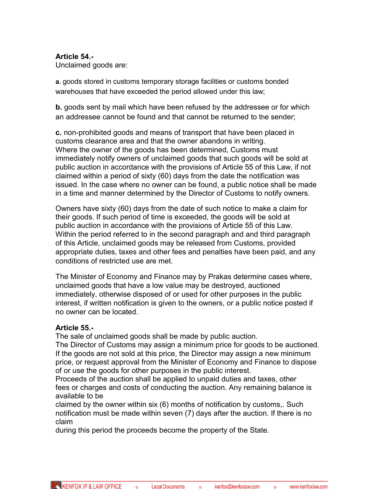#### **Article 54.-**

Unclaimed goods are:

**a.** goods stored in customs temporary storage facilities or customs bonded warehouses that have exceeded the period allowed under this law;

**b.** goods sent by mail which have been refused by the addressee or for which an addressee cannot be found and that cannot be returned to the sender;

**c.** non-prohibited goods and means of transport that have been placed in customs clearance area and that the owner abandons in writing. Where the owner of the goods has been determined, Customs must immediately notify owners of unclaimed goods that such goods will be sold at public auction in accordance with the provisions of Article 55 of this Law, if not claimed within a period of sixty (60) days from the date the notification was issued. In the case where no owner can be found, a public notice shall be made in a time and manner determined by the Director of Customs to notify owners.

Owners have sixty (60) days from the date of such notice to make a claim for their goods. If such period of time is exceeded, the goods will be sold at public auction in accordance with the provisions of Article 55 of this Law. Within the period referred to in the second paragraph and and third paragraph of this Article, unclaimed goods may be released from Customs, provided appropriate duties, taxes and other fees and penalties have been paid, and any conditions of restricted use are met.

The Minister of Economy and Finance may by Prakas determine cases where, unclaimed goods that have a low value may be destroyed, auctioned immediately, otherwise disposed of or used for other purposes in the public interest, if written notification is given to the owners, or a public notice posted if no owner can be located.

#### **Article 55.-**

The sale of unclaimed goods shall be made by public auction.

The Director of Customs may assign a minimum price for goods to be auctioned. If the goods are not sold at this price, the Director may assign a new minimum price, or request approval from the Minister of Economy and Finance to dispose of or use the goods for other purposes in the public interest.

Proceeds of the auction shall be applied to unpaid duties and taxes, other fees or charges and costs of conducting the auction. Any remaining balance is available to be

claimed by the owner within six (6) months of notification by customs,. Such notification must be made within seven (7) days after the auction. If there is no claim

during this period the proceeds become the property of the State.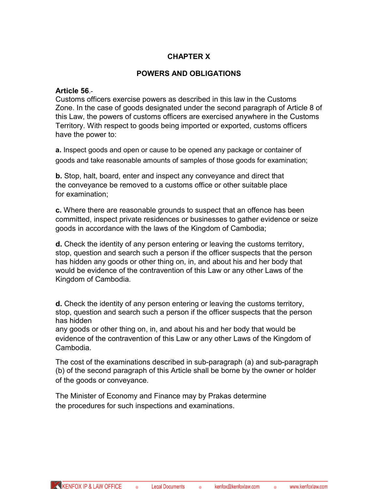## **CHAPTER X**

#### **POWERS AND OBLIGATIONS**

#### **Article 56**.-

Customs officers exercise powers as described in this law in the Customs Zone. In the case of goods designated under the second paragraph of Article 8 of this Law, the powers of customs officers are exercised anywhere in the Customs Territory. With respect to goods being imported or exported, customs officers have the power to:

**a.** Inspect goods and open or cause to be opened any package or container of goods and take reasonable amounts of samples of those goods for examination;

**b.** Stop, halt, board, enter and inspect any conveyance and direct that the conveyance be removed to a customs office or other suitable place for examination;

**c.** Where there are reasonable grounds to suspect that an offence has been committed, inspect private residences or businesses to gather evidence or seize goods in accordance with the laws of the Kingdom of Cambodia;

**d.** Check the identity of any person entering or leaving the customs territory, stop, question and search such a person if the officer suspects that the person has hidden any goods or other thing on, in, and about his and her body that would be evidence of the contravention of this Law or any other Laws of the Kingdom of Cambodia.

**d.** Check the identity of any person entering or leaving the customs territory, stop, question and search such a person if the officer suspects that the person has hidden

any goods or other thing on, in, and about his and her body that would be evidence of the contravention of this Law or any other Laws of the Kingdom of Cambodia.

The cost of the examinations described in sub-paragraph (a) and sub-paragraph (b) of the second paragraph of this Article shall be borne by the owner or holder of the goods or conveyance.

The Minister of Economy and Finance may by Prakas determine the procedures for such inspections and examinations.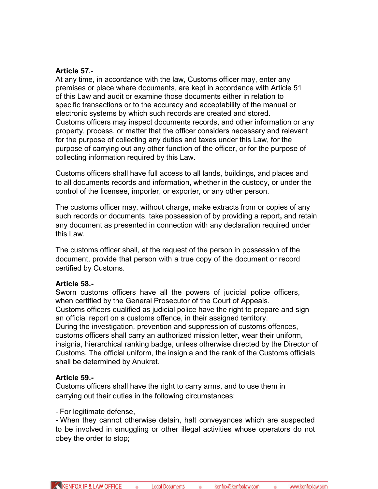#### **Article 57.-**

At any time, in accordance with the law, Customs officer may, enter any premises or place where documents, are kept in accordance with Article 51 of this Law and audit or examine those documents either in relation to specific transactions or to the accuracy and acceptability of the manual or electronic systems by which such records are created and stored. Customs officers may inspect documents records, and other information or any property, process, or matter that the officer considers necessary and relevant for the purpose of collecting any duties and taxes under this Law, for the purpose of carrying out any other function of the officer, or for the purpose of collecting information required by this Law.

Customs officers shall have full access to all lands, buildings, and places and to all documents records and information, whether in the custody, or under the control of the licensee, importer, or exporter, or any other person.

The customs officer may, without charge, make extracts from or copies of any such records or documents, take possession of by providing a report**,** and retain any document as presented in connection with any declaration required under this Law.

The customs officer shall, at the request of the person in possession of the document, provide that person with a true copy of the document or record certified by Customs.

#### **Article 58.-**

Sworn customs officers have all the powers of judicial police officers, when certified by the General Prosecutor of the Court of Appeals. Customs officers qualified as judicial police have the right to prepare and sign an official report on a customs offence, in their assigned territory. During the investigation, prevention and suppression of customs offences, customs officers shall carry an authorized mission letter, wear their uniform, insignia, hierarchical ranking badge, unless otherwise directed by the Director of Customs. The official uniform, the insignia and the rank of the Customs officials shall be determined by Anukret*.*

## **Article 59.-**

Customs officers shall have the right to carry arms, and to use them in carrying out their duties in the following circumstances:

- For legitimate defense,

- When they cannot otherwise detain, halt conveyances which are suspected to be involved in smuggling or other illegal activities whose operators do not obey the order to stop;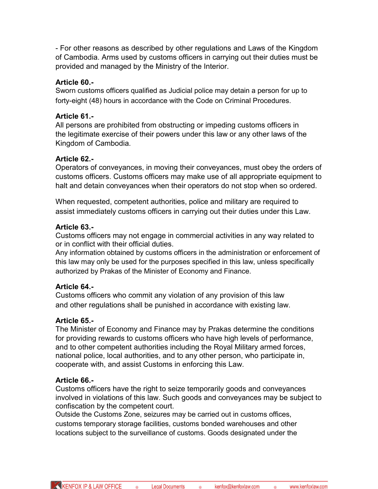- For other reasons as described by other regulations and Laws of the Kingdom of Cambodia. Arms used by customs officers in carrying out their duties must be provided and managed by the Ministry of the Interior.

#### **Article 60.-**

Sworn customs officers qualified as Judicial police may detain a person for up to forty-eight (48) hours in accordance with the Code on Criminal Procedures.

#### **Article 61.-**

All persons are prohibited from obstructing or impeding customs officers in the legitimate exercise of their powers under this law or any other laws of the Kingdom of Cambodia.

#### **Article 62.-**

Operators of conveyances, in moving their conveyances, must obey the orders of customs officers. Customs officers may make use of all appropriate equipment to halt and detain conveyances when their operators do not stop when so ordered.

When requested, competent authorities, police and military are required to assist immediately customs officers in carrying out their duties under this Law.

#### **Article 63.-**

Customs officers may not engage in commercial activities in any way related to or in conflict with their official duties.

Any information obtained by customs officers in the administration or enforcement of this law may only be used for the purposes specified in this law, unless specifically authorized by Prakas of the Minister of Economy and Finance.

## **Article 64.-**

Customs officers who commit any violation of any provision of this law and other regulations shall be punished in accordance with existing law.

## **Article 65.-**

The Minister of Economy and Finance may by Prakas determine the conditions for providing rewards to customs officers who have high levels of performance, and to other competent authorities including the Royal Military armed forces, national police, local authorities, and to any other person, who participate in, cooperate with, and assist Customs in enforcing this Law.

#### **Article 66.-**

Customs officers have the right to seize temporarily goods and conveyances involved in violations of this law. Such goods and conveyances may be subject to confiscation by the competent court.

Outside the Customs Zone, seizures may be carried out in customs offices, customs temporary storage facilities, customs bonded warehouses and other locations subject to the surveillance of customs. Goods designated under the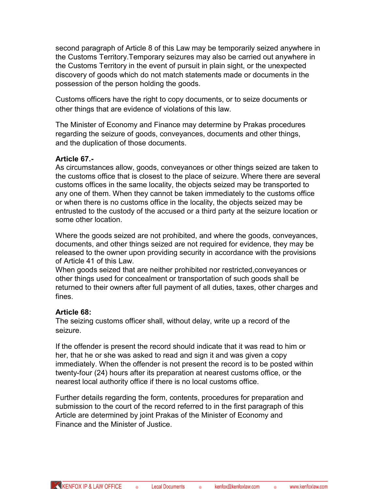second paragraph of Article 8 of this Law may be temporarily seized anywhere in the Customs Territory.Temporary seizures may also be carried out anywhere in the Customs Territory in the event of pursuit in plain sight, or the unexpected discovery of goods which do not match statements made or documents in the possession of the person holding the goods.

Customs officers have the right to copy documents, or to seize documents or other things that are evidence of violations of this law.

The Minister of Economy and Finance may determine by Prakas procedures regarding the seizure of goods, conveyances, documents and other things, and the duplication of those documents.

#### **Article 67.-**

As circumstances allow, goods, conveyances or other things seized are taken to the customs office that is closest to the place of seizure. Where there are several customs offices in the same locality, the objects seized may be transported to any one of them. When they cannot be taken immediately to the customs office or when there is no customs office in the locality, the objects seized may be entrusted to the custody of the accused or a third party at the seizure location or some other location.

Where the goods seized are not prohibited, and where the goods, conveyances, documents, and other things seized are not required for evidence, they may be released to the owner upon providing security in accordance with the provisions of Article 41 of this Law.

When goods seized that are neither prohibited nor restricted,conveyances or other things used for concealment or transportation of such goods shall be returned to their owners after full payment of all duties, taxes, other charges and fines.

#### **Article 68:**

The seizing customs officer shall, without delay, write up a record of the seizure.

If the offender is present the record should indicate that it was read to him or her, that he or she was asked to read and sign it and was given a copy immediately. When the offender is not present the record is to be posted within twenty-four (24) hours after its preparation at nearest customs office, or the nearest local authority office if there is no local customs office.

Further details regarding the form, contents, procedures for preparation and submission to the court of the record referred to in the first paragraph of this Article are determined by joint Prakas of the Minister of Economy and Finance and the Minister of Justice.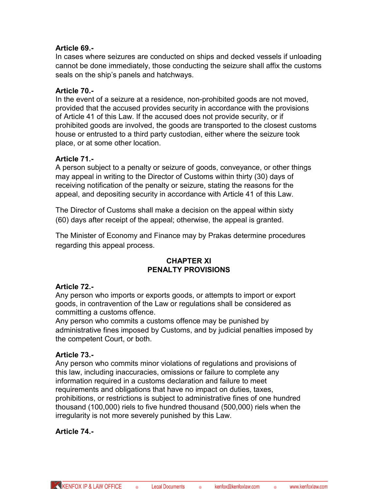## **Article 69.-**

In cases where seizures are conducted on ships and decked vessels if unloading cannot be done immediately, those conducting the seizure shall affix the customs seals on the ship's panels and hatchways.

## **Article 70.-**

In the event of a seizure at a residence, non-prohibited goods are not moved, provided that the accused provides security in accordance with the provisions of Article 41 of this Law. If the accused does not provide security, or if prohibited goods are involved, the goods are transported to the closest customs house or entrusted to a third party custodian, either where the seizure took place, or at some other location.

## **Article 71.-**

A person subject to a penalty or seizure of goods, conveyance, or other things may appeal in writing to the Director of Customs within thirty (30) days of receiving notification of the penalty or seizure, stating the reasons for the appeal, and depositing security in accordance with Article 41 of this Law.

The Director of Customs shall make a decision on the appeal within sixty (60) days after receipt of the appeal; otherwise, the appeal is granted.

The Minister of Economy and Finance may by Prakas determine procedures regarding this appeal process.

## **CHAPTER XI PENALTY PROVISIONS**

## **Article 72.-**

Any person who imports or exports goods, or attempts to import or export goods, in contravention of the Law or regulations shall be considered as committing a customs offence.

Any person who commits a customs offence may be punished by administrative fines imposed by Customs, and by judicial penalties imposed by the competent Court, or both.

## **Article 73.-**

Any person who commits minor violations of regulations and provisions of this law, including inaccuracies, omissions or failure to complete any information required in a customs declaration and failure to meet requirements and obligations that have no impact on duties, taxes, prohibitions, or restrictions is subject to administrative fines of one hundred thousand (100,000) riels to five hundred thousand (500,000) riels when the irregularity is not more severely punished by this Law.

## **Article 74.-**

KENFOX IP & LAW OFFICE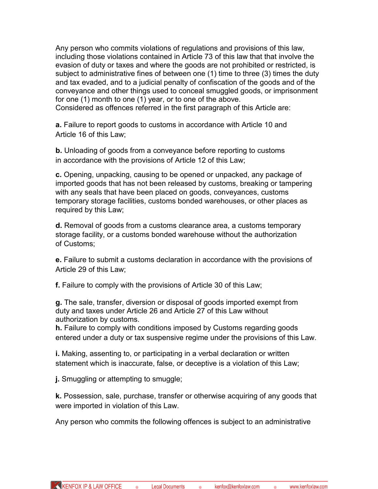Any person who commits violations of regulations and provisions of this law, including those violations contained in Article 73 of this law that that involve the evasion of duty or taxes and where the goods are not prohibited or restricted, is subject to administrative fines of between one (1) time to three (3) times the duty and tax evaded, and to a judicial penalty of confiscation of the goods and of the conveyance and other things used to conceal smuggled goods, or imprisonment for one (1) month to one (1) year, or to one of the above.

Considered as offences referred in the first paragraph of this Article are:

**a.** Failure to report goods to customs in accordance with Article 10 and Article 16 of this Law;

**b.** Unloading of goods from a conveyance before reporting to customs in accordance with the provisions of Article 12 of this Law;

**c.** Opening, unpacking, causing to be opened or unpacked, any package of imported goods that has not been released by customs, breaking or tampering with any seals that have been placed on goods, conveyances, customs temporary storage facilities, customs bonded warehouses, or other places as required by this Law;

**d.** Removal of goods from a customs clearance area, a customs temporary storage facility, or a customs bonded warehouse without the authorization of Customs;

**e.** Failure to submit a customs declaration in accordance with the provisions of Article 29 of this Law;

**f.** Failure to comply with the provisions of Article 30 of this Law;

**g.** The sale, transfer, diversion or disposal of goods imported exempt from duty and taxes under Article 26 and Article 27 of this Law without authorization by customs.

**h.** Failure to comply with conditions imposed by Customs regarding goods entered under a duty or tax suspensive regime under the provisions of this Law.

**i.** Making, assenting to, or participating in a verbal declaration or written statement which is inaccurate, false, or deceptive is a violation of this Law;

**j.** Smuggling or attempting to smuggle;

**k.** Possession, sale, purchase, transfer or otherwise acquiring of any goods that were imported in violation of this Law.

Any person who commits the following offences is subject to an administrative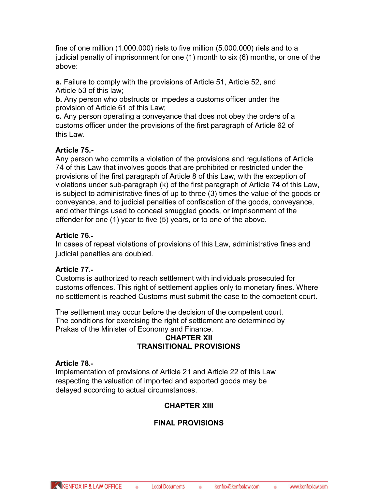fine of one million (1.000.000) riels to five million (5.000.000) riels and to a judicial penalty of imprisonment for one (1) month to six (6) months, or one of the above:

**a.** Failure to comply with the provisions of Article 51, Article 52, and Article 53 of this law;

**b.** Any person who obstructs or impedes a customs officer under the provision of Article 61 of this Law;

**c.** Any person operating a conveyance that does not obey the orders of a customs officer under the provisions of the first paragraph of Article 62 of this Law.

# **Article 75.-**

Any person who commits a violation of the provisions and regulations of Article 74 of this Law that involves goods that are prohibited or restricted under the provisions of the first paragraph of Article 8 of this Law, with the exception of violations under sub-paragraph (k) of the first paragraph of Article 74 of this Law, is subject to administrative fines of up to three (3) times the value of the goods or conveyance, and to judicial penalties of confiscation of the goods, conveyance, and other things used to conceal smuggled goods, or imprisonment of the offender for one (1) year to five (5) years, or to one of the above.

## **Article 76.-**

In cases of repeat violations of provisions of this Law, administrative fines and judicial penalties are doubled.

# **Article 77.-**

Customs is authorized to reach settlement with individuals prosecuted for customs offences. This right of settlement applies only to monetary fines. Where no settlement is reached Customs must submit the case to the competent court.

The settlement may occur before the decision of the competent court. The conditions for exercising the right of settlement are determined by Prakas of the Minister of Economy and Finance.

## **CHAPTER XII TRANSITIONAL PROVISIONS**

# **Article 78.-**

Implementation of provisions of Article 21 and Article 22 of this Law respecting the valuation of imported and exported goods may be delayed according to actual circumstances.

# **CHAPTER XIII**

# **FINAL PROVISIONS**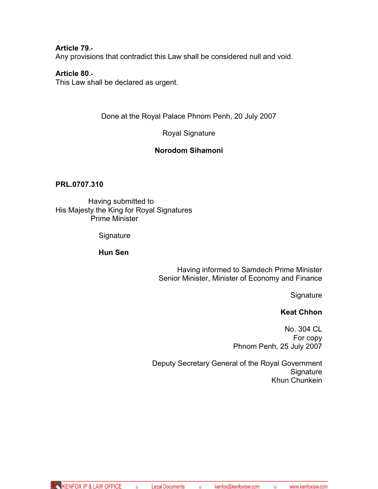**Article 79.-** Any provisions that contradict this Law shall be considered null and void.

#### **Article 80.-**

This Law shall be declared as urgent.

Done at the Royal Palace Phnom Penh, 20 July 2007

Royal Signature

## **Norodom Sihamoni**

#### **PRL.0707.310**

Having submitted to His Majesty the King for Royal Signatures Prime Minister

**Signature** 

#### **Hun Sen**

Having informed to Samdech Prime Minister Senior Minister, Minister of Economy and Finance

**Signature** 

#### **Keat Chhon**

No. 304 CL For copy Phnom Penh, 25 July 2007

Deputy Secretary General of the Royal Government **Signature** Khun Chunkein

 $\bullet$